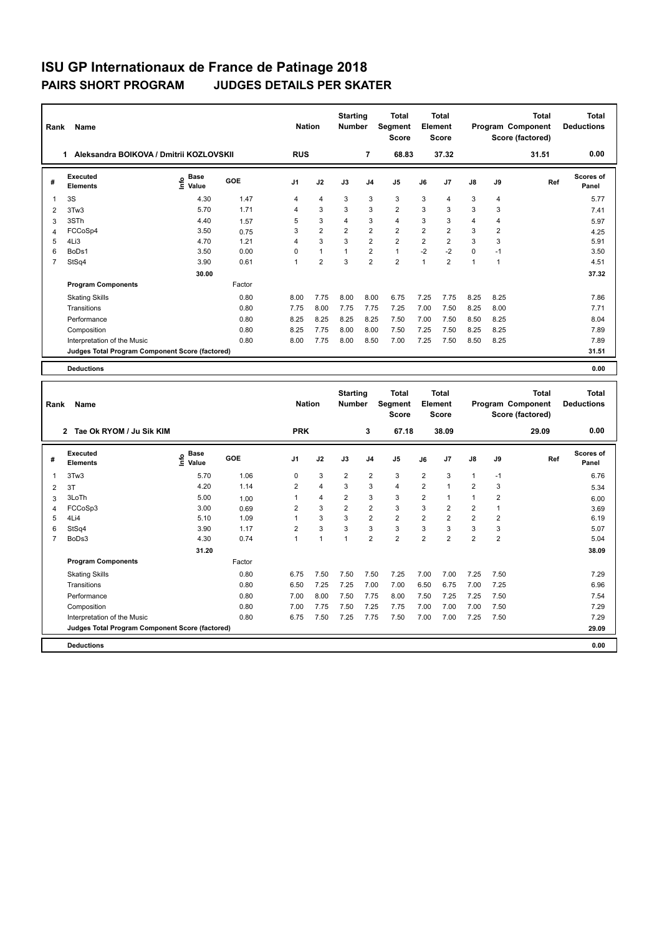| Rank           | Name                                            |                              |        | <b>Nation</b>  |                | <b>Starting</b><br><b>Number</b> |                | <b>Total</b><br>Segment<br><b>Score</b> |                | <b>Total</b><br>Element<br><b>Score</b> |              |                | <b>Total</b><br>Program Component<br>Score (factored) | <b>Total</b><br><b>Deductions</b> |
|----------------|-------------------------------------------------|------------------------------|--------|----------------|----------------|----------------------------------|----------------|-----------------------------------------|----------------|-----------------------------------------|--------------|----------------|-------------------------------------------------------|-----------------------------------|
|                | Aleksandra BOIKOVA / Dmitrii KOZLOVSKII<br>1    |                              |        | <b>RUS</b>     |                |                                  | $\overline{7}$ | 68.83                                   |                | 37.32                                   |              |                | 31.51                                                 | 0.00                              |
| #              | Executed<br><b>Elements</b>                     | <b>Base</b><br>lnfo<br>Value | GOE    | J <sub>1</sub> | J2             | J3                               | J <sub>4</sub> | J <sub>5</sub>                          | J6             | J <sub>7</sub>                          | J8           | J9             | Ref                                                   | Scores of<br>Panel                |
| $\overline{1}$ | 3S                                              | 4.30                         | 1.47   | $\overline{4}$ | $\overline{4}$ | 3                                | 3              | 3                                       | 3              | 4                                       | 3            | 4              |                                                       | 5.77                              |
| 2              | 3Tw3                                            | 5.70                         | 1.71   | 4              | 3              | 3                                | 3              | $\overline{2}$                          | 3              | 3                                       | 3            | 3              |                                                       | 7.41                              |
| 3              | 3STh                                            | 4.40                         | 1.57   | 5              | 3              | $\overline{4}$                   | 3              | $\overline{4}$                          | 3              | 3                                       | 4            | 4              |                                                       | 5.97                              |
| $\overline{4}$ | FCCoSp4                                         | 3.50                         | 0.75   | 3              | $\overline{2}$ | $\overline{2}$                   | $\overline{2}$ | $\overline{2}$                          | $\overline{2}$ | $\overline{2}$                          | 3            | $\overline{2}$ |                                                       | 4.25                              |
| 5              | 4Li3                                            | 4.70                         | 1.21   | 4              | 3              | 3                                | $\overline{2}$ | $\overline{2}$                          | $\overline{2}$ | $\overline{2}$                          | 3            | 3              |                                                       | 5.91                              |
| 6              | BoDs1                                           | 3.50                         | 0.00   | $\Omega$       | $\mathbf{1}$   | $\mathbf{1}$                     | $\overline{2}$ | $\mathbf{1}$                            | $-2$           | $-2$                                    | 0            | $-1$           |                                                       | 3.50                              |
| $\overline{7}$ | StSq4                                           | 3.90                         | 0.61   |                | $\overline{2}$ | 3                                | $\overline{2}$ | $\overline{2}$                          | 1              | $\overline{2}$                          | $\mathbf{1}$ | 1              |                                                       | 4.51                              |
|                |                                                 | 30.00                        |        |                |                |                                  |                |                                         |                |                                         |              |                |                                                       | 37.32                             |
|                | <b>Program Components</b>                       |                              | Factor |                |                |                                  |                |                                         |                |                                         |              |                |                                                       |                                   |
|                | <b>Skating Skills</b>                           |                              | 0.80   | 8.00           | 7.75           | 8.00                             | 8.00           | 6.75                                    | 7.25           | 7.75                                    | 8.25         | 8.25           |                                                       | 7.86                              |
|                | Transitions                                     |                              | 0.80   | 7.75           | 8.00           | 7.75                             | 7.75           | 7.25                                    | 7.00           | 7.50                                    | 8.25         | 8.00           |                                                       | 7.71                              |
|                | Performance                                     |                              | 0.80   | 8.25           | 8.25           | 8.25                             | 8.25           | 7.50                                    | 7.00           | 7.50                                    | 8.50         | 8.25           |                                                       | 8.04                              |
|                | Composition                                     |                              | 0.80   | 8.25           | 7.75           | 8.00                             | 8.00           | 7.50                                    | 7.25           | 7.50                                    | 8.25         | 8.25           |                                                       | 7.89                              |
|                | Interpretation of the Music                     |                              | 0.80   | 8.00           | 7.75           | 8.00                             | 8.50           | 7.00                                    | 7.25           | 7.50                                    | 8.50         | 8.25           |                                                       | 7.89                              |
|                | Judges Total Program Component Score (factored) |                              |        |                |                |                                  |                |                                         |                |                                         |              |                |                                                       | 31.51                             |
|                | <b>Deductions</b>                               |                              |        |                |                |                                  |                |                                         |                |                                         |              |                |                                                       | 0.00                              |

| Rank | Name                                            |                                  |        | <b>Nation</b>  |                | <b>Starting</b><br><b>Number</b> |                | <b>Total</b><br>Segment<br><b>Score</b> |                | <b>Total</b><br>Element<br><b>Score</b> |                |                | <b>Total</b><br>Program Component<br>Score (factored) | <b>Total</b><br><b>Deductions</b> |
|------|-------------------------------------------------|----------------------------------|--------|----------------|----------------|----------------------------------|----------------|-----------------------------------------|----------------|-----------------------------------------|----------------|----------------|-------------------------------------------------------|-----------------------------------|
|      | Tae Ok RYOM / Ju Sik KIM<br>$\overline{2}$      |                                  |        | <b>PRK</b>     |                |                                  | 3              | 67.18                                   |                | 38.09                                   |                |                | 29.09                                                 | 0.00                              |
| #    | Executed<br><b>Elements</b>                     | <b>Base</b><br>e Base<br>⊆ Value | GOE    | J <sub>1</sub> | J2             | J3                               | J <sub>4</sub> | J <sub>5</sub>                          | J6             | J7                                      | $\mathsf{J}8$  | J9             | Ref                                                   | <b>Scores of</b><br>Panel         |
| 1    | 3Tw3                                            | 5.70                             | 1.06   | 0              | 3              | $\overline{2}$                   | $\overline{2}$ | 3                                       | $\overline{2}$ | 3                                       | $\mathbf{1}$   | $-1$           |                                                       | 6.76                              |
| 2    | 3T                                              | 4.20                             | 1.14   | $\overline{2}$ | $\overline{4}$ | 3                                | 3              | $\overline{4}$                          | $\overline{2}$ | 1                                       | $\overline{2}$ | 3              |                                                       | 5.34                              |
| 3    | 3LoTh                                           | 5.00                             | 1.00   |                | $\overline{4}$ | $\overline{2}$                   | 3              | 3                                       | $\overline{2}$ |                                         | $\overline{1}$ | 2              |                                                       | 6.00                              |
| 4    | FCCoSp3                                         | 3.00                             | 0.69   | $\overline{2}$ | 3              | $\overline{2}$                   | $\overline{2}$ | 3                                       | 3              | $\overline{2}$                          | $\overline{2}$ |                |                                                       | 3.69                              |
| 5    | 4Li4                                            | 5.10                             | 1.09   |                | 3              | 3                                | $\overline{2}$ | $\overline{2}$                          | $\overline{2}$ | $\overline{2}$                          | $\overline{2}$ | 2              |                                                       | 6.19                              |
| 6    | StSq4                                           | 3.90                             | 1.17   | $\overline{2}$ | 3              | 3                                | 3              | 3                                       | 3              | 3                                       | 3              | 3              |                                                       | 5.07                              |
|      | BoDs3                                           | 4.30                             | 0.74   |                | 1              |                                  | $\overline{2}$ | $\overline{2}$                          | $\overline{2}$ | 2                                       | $\overline{2}$ | $\overline{2}$ |                                                       | 5.04                              |
|      |                                                 | 31.20                            |        |                |                |                                  |                |                                         |                |                                         |                |                |                                                       | 38.09                             |
|      | <b>Program Components</b>                       |                                  | Factor |                |                |                                  |                |                                         |                |                                         |                |                |                                                       |                                   |
|      | <b>Skating Skills</b>                           |                                  | 0.80   | 6.75           | 7.50           | 7.50                             | 7.50           | 7.25                                    | 7.00           | 7.00                                    | 7.25           | 7.50           |                                                       | 7.29                              |
|      | Transitions                                     |                                  | 0.80   | 6.50           | 7.25           | 7.25                             | 7.00           | 7.00                                    | 6.50           | 6.75                                    | 7.00           | 7.25           |                                                       | 6.96                              |
|      | Performance                                     |                                  | 0.80   | 7.00           | 8.00           | 7.50                             | 7.75           | 8.00                                    | 7.50           | 7.25                                    | 7.25           | 7.50           |                                                       | 7.54                              |
|      | Composition                                     |                                  | 0.80   | 7.00           | 7.75           | 7.50                             | 7.25           | 7.75                                    | 7.00           | 7.00                                    | 7.00           | 7.50           |                                                       | 7.29                              |
|      | Interpretation of the Music                     |                                  | 0.80   | 6.75           | 7.50           | 7.25                             | 7.75           | 7.50                                    | 7.00           | 7.00                                    | 7.25           | 7.50           |                                                       | 7.29                              |
|      | Judges Total Program Component Score (factored) |                                  |        |                |                |                                  |                |                                         |                |                                         |                |                |                                                       | 29.09                             |
|      | <b>Deductions</b>                               |                                  |        |                |                |                                  |                |                                         |                |                                         |                |                |                                                       | 0.00                              |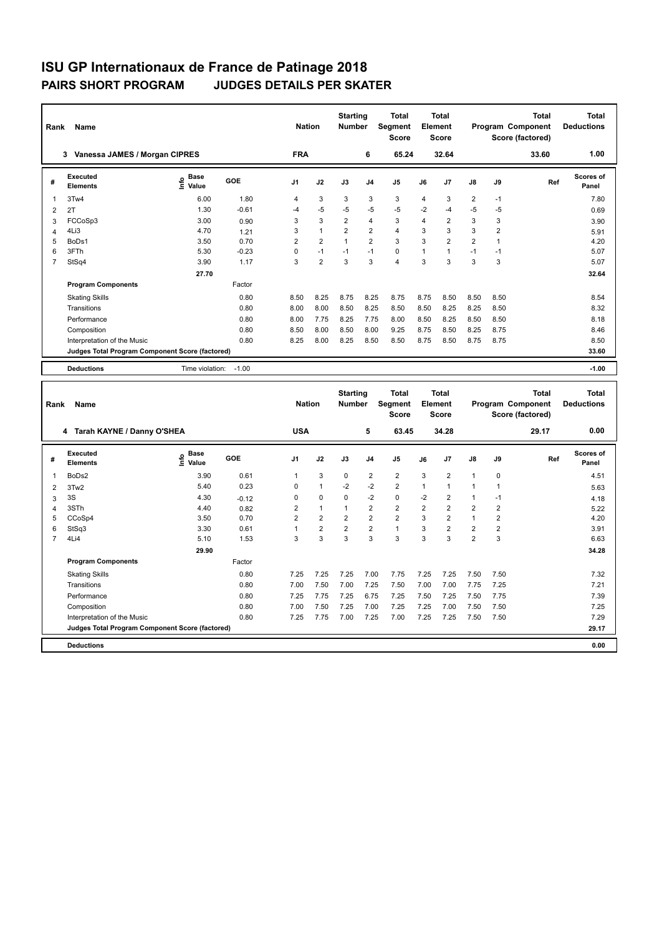| Rank           | Name                                            |                              |         | <b>Nation</b>  |                | <b>Starting</b><br><b>Number</b> |                | <b>Total</b><br>Segment<br><b>Score</b> |                | <b>Total</b><br>Element<br><b>Score</b> |                |                | <b>Total</b><br>Program Component<br>Score (factored) | <b>Total</b><br><b>Deductions</b> |
|----------------|-------------------------------------------------|------------------------------|---------|----------------|----------------|----------------------------------|----------------|-----------------------------------------|----------------|-----------------------------------------|----------------|----------------|-------------------------------------------------------|-----------------------------------|
|                | Vanessa JAMES / Morgan CIPRES<br>3              |                              |         | <b>FRA</b>     |                |                                  | 6              | 65.24                                   |                | 32.64                                   |                |                | 33.60                                                 | 1.00                              |
| #              | <b>Executed</b><br><b>Elements</b>              | <b>Base</b><br>١nfo<br>Value | GOE     | J <sub>1</sub> | J2             | J3                               | J <sub>4</sub> | J <sub>5</sub>                          | J6             | J7                                      | $\mathsf{J}8$  | J9             | Ref                                                   | Scores of<br>Panel                |
| 1              | 3Tw4                                            | 6.00                         | 1.80    | 4              | 3              | 3                                | 3              | 3                                       | 4              | 3                                       | $\overline{2}$ | $-1$           |                                                       | 7.80                              |
| 2              | 2T                                              | 1.30                         | $-0.61$ | $-4$           | $-5$           | $-5$                             | $-5$           | $-5$                                    | $-2$           | $-4$                                    | $-5$           | $-5$           |                                                       | 0.69                              |
| 3              | FCCoSp3                                         | 3.00                         | 0.90    | 3              | 3              | $\overline{2}$                   | $\overline{4}$ | 3                                       | $\overline{4}$ | $\overline{2}$                          | 3              | 3              |                                                       | 3.90                              |
| 4              | 4Li3                                            | 4.70                         | 1.21    | 3              | $\mathbf{1}$   | $\overline{2}$                   | $\overline{2}$ | $\overline{4}$                          | 3              | 3                                       | 3              | $\overline{2}$ |                                                       | 5.91                              |
| 5              | BoDs1                                           | 3.50                         | 0.70    | $\overline{2}$ | $\overline{2}$ | 1                                | $\overline{2}$ | 3                                       | 3              | $\overline{2}$                          | $\overline{2}$ | $\mathbf 1$    |                                                       | 4.20                              |
| 6              | 3FTh                                            | 5.30                         | $-0.23$ | 0              | $-1$           | $-1$                             | $-1$           | $\mathbf 0$                             | $\overline{1}$ | $\blacktriangleleft$                    | $-1$           | $-1$           |                                                       | 5.07                              |
| $\overline{7}$ | StSq4                                           | 3.90                         | 1.17    | 3              | $\overline{2}$ | 3                                | 3              | $\overline{4}$                          | 3              | 3                                       | 3              | 3              |                                                       | 5.07                              |
|                |                                                 | 27.70                        |         |                |                |                                  |                |                                         |                |                                         |                |                |                                                       | 32.64                             |
|                | <b>Program Components</b>                       |                              | Factor  |                |                |                                  |                |                                         |                |                                         |                |                |                                                       |                                   |
|                | <b>Skating Skills</b>                           |                              | 0.80    | 8.50           | 8.25           | 8.75                             | 8.25           | 8.75                                    | 8.75           | 8.50                                    | 8.50           | 8.50           |                                                       | 8.54                              |
|                | Transitions                                     |                              | 0.80    | 8.00           | 8.00           | 8.50                             | 8.25           | 8.50                                    | 8.50           | 8.25                                    | 8.25           | 8.50           |                                                       | 8.32                              |
|                | Performance                                     |                              | 0.80    | 8.00           | 7.75           | 8.25                             | 7.75           | 8.00                                    | 8.50           | 8.25                                    | 8.50           | 8.50           |                                                       | 8.18                              |
|                | Composition                                     |                              | 0.80    | 8.50           | 8.00           | 8.50                             | 8.00           | 9.25                                    | 8.75           | 8.50                                    | 8.25           | 8.75           |                                                       | 8.46                              |
|                | Interpretation of the Music                     |                              | 0.80    | 8.25           | 8.00           | 8.25                             | 8.50           | 8.50                                    | 8.75           | 8.50                                    | 8.75           | 8.75           |                                                       | 8.50                              |
|                | Judges Total Program Component Score (factored) |                              |         |                |                |                                  |                |                                         |                |                                         |                |                |                                                       | 33.60                             |
|                | <b>Deductions</b>                               | Time violation:              | $-1.00$ |                |                |                                  |                |                                         |                |                                         |                |                |                                                       | $-1.00$                           |

| Rank           | Name                                            |                              | <b>Nation</b> |                | <b>Starting</b><br><b>Number</b> | <b>Total</b><br>Segment<br><b>Score</b> | <b>Total</b><br>Element<br><b>Score</b> |                | Program Component |                | <b>Total</b><br>Score (factored) | Total<br><b>Deductions</b> |       |                    |
|----------------|-------------------------------------------------|------------------------------|---------------|----------------|----------------------------------|-----------------------------------------|-----------------------------------------|----------------|-------------------|----------------|----------------------------------|----------------------------|-------|--------------------|
|                | Tarah KAYNE / Danny O'SHEA<br>4                 |                              |               | <b>USA</b>     |                                  |                                         | 5                                       | 63.45          |                   | 34.28          |                                  |                            | 29.17 | 0.00               |
| #              | Executed<br><b>Elements</b>                     | <b>Base</b><br>Info<br>Value | GOE           | J <sub>1</sub> | J2                               | J3                                      | J <sub>4</sub>                          | J <sub>5</sub> | J6                | J7             | $\mathsf{J}8$                    | J9                         | Ref   | Scores of<br>Panel |
|                | BoDs2                                           | 3.90                         | 0.61          | 1              | 3                                | $\Omega$                                | $\overline{2}$                          | $\overline{2}$ | 3                 | $\overline{2}$ | $\blacktriangleleft$             | $\mathbf 0$                |       | 4.51               |
| 2              | 3Tw2                                            | 5.40                         | 0.23          | 0              | $\mathbf{1}$                     | $-2$                                    | $-2$                                    | $\overline{2}$ | $\mathbf{1}$      | $\overline{ }$ | $\blacktriangleleft$             |                            |       | 5.63               |
| 3              | 3S                                              | 4.30                         | $-0.12$       | 0              | 0                                | $\Omega$                                | $-2$                                    | $\mathbf 0$    | $-2$              | 2              | $\overline{1}$                   | $-1$                       |       | 4.18               |
| 4              | 3STh                                            | 4.40                         | 0.82          | 2              | $\overline{1}$                   |                                         | $\overline{2}$                          | $\overline{2}$ | $\overline{2}$    | $\overline{2}$ | $\overline{2}$                   | $\overline{2}$             |       | 5.22               |
| 5              | CCoSp4                                          | 3.50                         | 0.70          | $\overline{2}$ | $\overline{2}$                   | $\overline{2}$                          | $\overline{2}$                          | $\overline{2}$ | 3                 | $\overline{2}$ | $\overline{1}$                   | $\overline{2}$             |       | 4.20               |
| 6              | StSq3                                           | 3.30                         | 0.61          | 1              | $\overline{2}$                   | $\overline{2}$                          | $\overline{2}$                          | $\mathbf{1}$   | 3                 | $\overline{2}$ | $\overline{2}$                   | $\overline{2}$             |       | 3.91               |
| $\overline{7}$ | 4Li4                                            | 5.10                         | 1.53          | 3              | 3                                | 3                                       | 3                                       | 3              | 3                 | 3              | $\overline{2}$                   | 3                          |       | 6.63               |
|                |                                                 | 29.90                        |               |                |                                  |                                         |                                         |                |                   |                |                                  |                            |       | 34.28              |
|                | <b>Program Components</b>                       |                              | Factor        |                |                                  |                                         |                                         |                |                   |                |                                  |                            |       |                    |
|                | <b>Skating Skills</b>                           |                              | 0.80          | 7.25           | 7.25                             | 7.25                                    | 7.00                                    | 7.75           | 7.25              | 7.25           | 7.50                             | 7.50                       |       | 7.32               |
|                | Transitions                                     |                              | 0.80          | 7.00           | 7.50                             | 7.00                                    | 7.25                                    | 7.50           | 7.00              | 7.00           | 7.75                             | 7.25                       |       | 7.21               |
|                | Performance                                     |                              | 0.80          | 7.25           | 7.75                             | 7.25                                    | 6.75                                    | 7.25           | 7.50              | 7.25           | 7.50                             | 7.75                       |       | 7.39               |
|                | Composition                                     |                              | 0.80          | 7.00           | 7.50                             | 7.25                                    | 7.00                                    | 7.25           | 7.25              | 7.00           | 7.50                             | 7.50                       |       | 7.25               |
|                | Interpretation of the Music                     |                              | 0.80          | 7.25           | 7.75                             | 7.00                                    | 7.25                                    | 7.00           | 7.25              | 7.25           | 7.50                             | 7.50                       |       | 7.29               |
|                | Judges Total Program Component Score (factored) |                              |               |                |                                  |                                         |                                         |                |                   |                |                                  |                            |       | 29.17              |
|                | <b>Deductions</b>                               |                              |               |                |                                  |                                         |                                         |                |                   |                |                                  |                            |       | 0.00               |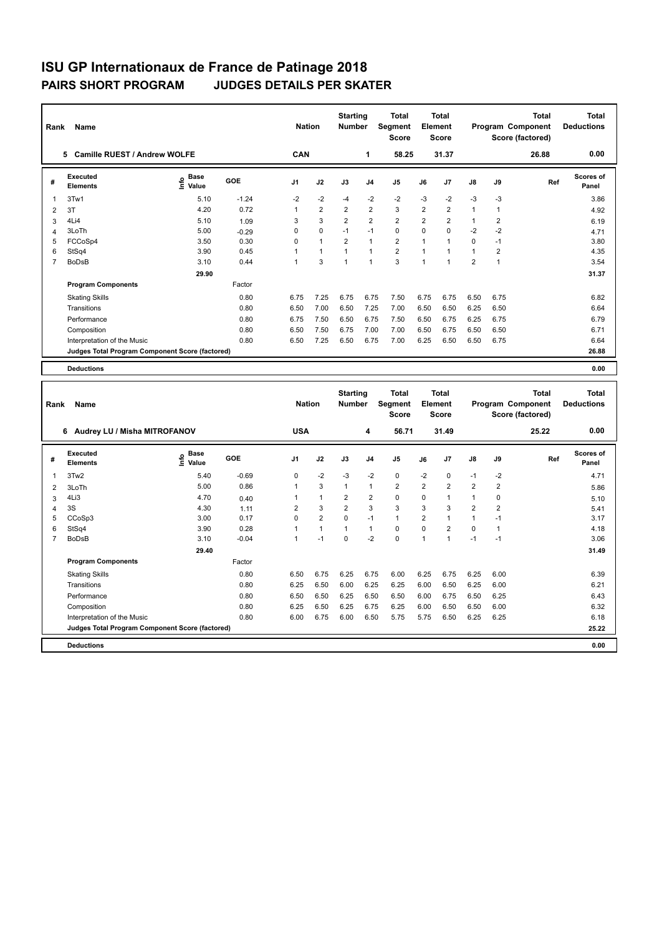|                | Name<br>Rank                                    |                                  |         |                |                | <b>Starting</b><br><b>Number</b> |                | Total<br>Segment<br><b>Score</b> | <b>Total</b><br>Element<br><b>Score</b> |                | Program Component |              | <b>Total</b><br>Score (factored) | <b>Total</b><br><b>Deductions</b> |
|----------------|-------------------------------------------------|----------------------------------|---------|----------------|----------------|----------------------------------|----------------|----------------------------------|-----------------------------------------|----------------|-------------------|--------------|----------------------------------|-----------------------------------|
|                | <b>Camille RUEST / Andrew WOLFE</b><br>5.       |                                  |         | <b>CAN</b>     |                |                                  | 1              | 58.25                            |                                         | 31.37          |                   |              | 26.88                            | 0.00                              |
| #              | Executed<br><b>Elements</b>                     | <b>Base</b><br>e Base<br>⊆ Value | GOE     | J <sub>1</sub> | J2             | J3                               | J <sub>4</sub> | J <sub>5</sub>                   | J6                                      | J7             | J8                | J9           | Ref                              | <b>Scores of</b><br>Panel         |
| 1              | 3Tw1                                            | 5.10                             | $-1.24$ | $-2$           | $-2$           | $-4$                             | $-2$           | $-2$                             | $-3$                                    | $-2$           | $-3$              | $-3$         |                                  | 3.86                              |
| $\overline{2}$ | 3T                                              | 4.20                             | 0.72    | 1              | $\overline{2}$ | $\overline{2}$                   | $\overline{2}$ | 3                                | $\overline{2}$                          | $\overline{2}$ | $\mathbf{1}$      | $\mathbf{1}$ |                                  | 4.92                              |
| 3              | 4Li4                                            | 5.10                             | 1.09    | 3              | 3              | $\overline{2}$                   | 2              | $\overline{2}$                   | $\overline{2}$                          | 2              | $\mathbf{1}$      | 2            |                                  | 6.19                              |
| $\overline{4}$ | 3LoTh                                           | 5.00                             | $-0.29$ | $\Omega$       | $\mathbf 0$    | $-1$                             | $-1$           | $\mathbf 0$                      | $\mathbf 0$                             | $\mathbf 0$    | $-2$              | $-2$         |                                  | 4.71                              |
| 5              | FCCoSp4                                         | 3.50                             | 0.30    | 0              | $\overline{1}$ | $\overline{2}$                   | $\overline{1}$ | $\overline{2}$                   | $\mathbf{1}$                            |                | 0                 | $-1$         |                                  | 3.80                              |
| 6              | StSq4                                           | 3.90                             | 0.45    | 1              | $\overline{1}$ | $\overline{1}$                   | $\overline{1}$ | $\overline{2}$                   | $\mathbf{1}$                            |                | $\mathbf{1}$      | 2            |                                  | 4.35                              |
| $\overline{7}$ | <b>BoDsB</b>                                    | 3.10                             | 0.44    | 1              | 3              | 1                                | $\overline{1}$ | 3                                | $\mathbf{1}$                            |                | $\overline{2}$    | 1            |                                  | 3.54                              |
|                |                                                 | 29.90                            |         |                |                |                                  |                |                                  |                                         |                |                   |              |                                  | 31.37                             |
|                | <b>Program Components</b>                       |                                  | Factor  |                |                |                                  |                |                                  |                                         |                |                   |              |                                  |                                   |
|                | <b>Skating Skills</b>                           |                                  | 0.80    | 6.75           | 7.25           | 6.75                             | 6.75           | 7.50                             | 6.75                                    | 6.75           | 6.50              | 6.75         |                                  | 6.82                              |
|                | Transitions                                     |                                  | 0.80    | 6.50           | 7.00           | 6.50                             | 7.25           | 7.00                             | 6.50                                    | 6.50           | 6.25              | 6.50         |                                  | 6.64                              |
|                | Performance                                     |                                  | 0.80    | 6.75           | 7.50           | 6.50                             | 6.75           | 7.50                             | 6.50                                    | 6.75           | 6.25              | 6.75         |                                  | 6.79                              |
|                | Composition                                     |                                  | 0.80    | 6.50           | 7.50           | 6.75                             | 7.00           | 7.00                             | 6.50                                    | 6.75           | 6.50              | 6.50         |                                  | 6.71                              |
|                | Interpretation of the Music                     |                                  | 0.80    | 6.50           | 7.25           | 6.50                             | 6.75           | 7.00                             | 6.25                                    | 6.50           | 6.50              | 6.75         |                                  | 6.64                              |
|                | Judges Total Program Component Score (factored) |                                  |         |                |                |                                  |                |                                  |                                         |                |                   |              |                                  | 26.88                             |
|                | <b>Deductions</b>                               |                                  |         |                |                |                                  |                |                                  |                                         |                |                   |              |                                  | 0.00                              |

|   | Name<br>Rank                                    |                              |         |                |                | <b>Starting</b><br><b>Number</b> |                | <b>Total</b><br>Segment<br><b>Score</b> | <b>Total</b><br>Element<br><b>Score</b> |                | Program Component |                | <b>Total</b><br>Score (factored) | <b>Total</b><br><b>Deductions</b> |
|---|-------------------------------------------------|------------------------------|---------|----------------|----------------|----------------------------------|----------------|-----------------------------------------|-----------------------------------------|----------------|-------------------|----------------|----------------------------------|-----------------------------------|
|   | Audrey LU / Misha MITROFANOV<br>6               |                              |         | <b>USA</b>     |                |                                  | 4              | 56.71                                   |                                         | 31.49          |                   |                | 25.22                            | 0.00                              |
| # | Executed<br><b>Elements</b>                     | <b>Base</b><br>١nf٥<br>Value | GOE     | J <sub>1</sub> | J2             | J3                               | J <sub>4</sub> | J <sub>5</sub>                          | J6                                      | J <sub>7</sub> | $\mathsf{J}8$     | J9             | Ref                              | <b>Scores of</b><br>Panel         |
| 1 | 3Tw2                                            | 5.40                         | $-0.69$ | 0              | $-2$           | $-3$                             | $-2$           | $\mathbf 0$                             | $-2$                                    | 0              | $-1$              | $-2$           |                                  | 4.71                              |
| 2 | 3LoTh                                           | 5.00                         | 0.86    |                | 3              | $\mathbf{1}$                     | $\mathbf{1}$   | $\overline{2}$                          | $\overline{2}$                          | $\overline{2}$ | $\overline{2}$    | $\overline{2}$ |                                  | 5.86                              |
| 3 | 4Li3                                            | 4.70                         | 0.40    |                | $\mathbf{1}$   | $\overline{2}$                   | $\overline{2}$ | 0                                       | 0                                       | 1              | $\mathbf{1}$      | 0              |                                  | 5.10                              |
| 4 | 3S                                              | 4.30                         | 1.11    | $\overline{2}$ | 3              | 2                                | 3              | 3                                       | 3                                       | 3              | $\overline{2}$    | 2              |                                  | 5.41                              |
| 5 | CCoSp3                                          | 3.00                         | 0.17    | $\Omega$       | $\overline{2}$ | 0                                | $-1$           | $\mathbf{1}$                            | $\overline{2}$                          | 1              | $\mathbf{1}$      | $-1$           |                                  | 3.17                              |
| 6 | StSq4                                           | 3.90                         | 0.28    |                | $\mathbf{1}$   | $\mathbf{1}$                     | $\mathbf{1}$   | 0                                       | $\Omega$                                | $\overline{2}$ | $\Omega$          |                |                                  | 4.18                              |
|   | <b>BoDsB</b>                                    | 3.10                         | $-0.04$ |                | $-1$           | $\Omega$                         | $-2$           | $\mathbf 0$                             | $\overline{1}$                          | 1              | $-1$              | $-1$           |                                  | 3.06                              |
|   |                                                 | 29.40                        |         |                |                |                                  |                |                                         |                                         |                |                   |                |                                  | 31.49                             |
|   | <b>Program Components</b>                       |                              | Factor  |                |                |                                  |                |                                         |                                         |                |                   |                |                                  |                                   |
|   | <b>Skating Skills</b>                           |                              | 0.80    | 6.50           | 6.75           | 6.25                             | 6.75           | 6.00                                    | 6.25                                    | 6.75           | 6.25              | 6.00           |                                  | 6.39                              |
|   | Transitions                                     |                              | 0.80    | 6.25           | 6.50           | 6.00                             | 6.25           | 6.25                                    | 6.00                                    | 6.50           | 6.25              | 6.00           |                                  | 6.21                              |
|   | Performance                                     |                              | 0.80    | 6.50           | 6.50           | 6.25                             | 6.50           | 6.50                                    | 6.00                                    | 6.75           | 6.50              | 6.25           |                                  | 6.43                              |
|   | Composition                                     |                              | 0.80    | 6.25           | 6.50           | 6.25                             | 6.75           | 6.25                                    | 6.00                                    | 6.50           | 6.50              | 6.00           |                                  | 6.32                              |
|   | Interpretation of the Music                     |                              | 0.80    | 6.00           | 6.75           | 6.00                             | 6.50           | 5.75                                    | 5.75                                    | 6.50           | 6.25              | 6.25           |                                  | 6.18                              |
|   | Judges Total Program Component Score (factored) |                              |         |                |                |                                  |                |                                         |                                         |                |                   |                |                                  | 25.22                             |
|   | <b>Deductions</b>                               |                              |         |                |                |                                  |                |                                         |                                         |                |                   |                |                                  | 0.00                              |